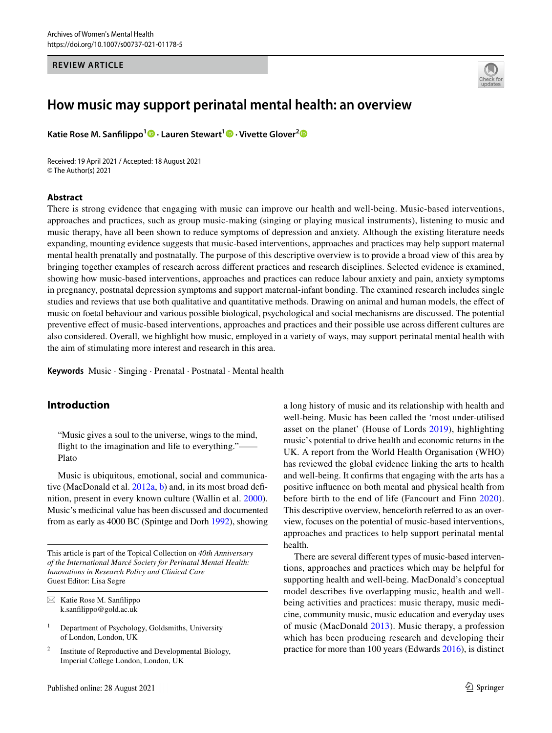#### **REVIEW ARTICLE**



# **How music may support perinatal mental health: an overview**

**KatieRose M. Sanfilippo**<sup>1</sup> **b · Lauren Stewart**<sup>1</sup> **b** · Vivette Glover<sup>[2](http://orcid.org/0000-0001-6543-1651)</sup> **b** 

Received: 19 April 2021 / Accepted: 18 August 2021 © The Author(s) 2021

#### **Abstract**

There is strong evidence that engaging with music can improve our health and well-being. Music-based interventions, approaches and practices, such as group music-making (singing or playing musical instruments), listening to music and music therapy, have all been shown to reduce symptoms of depression and anxiety. Although the existing literature needs expanding, mounting evidence suggests that music-based interventions, approaches and practices may help support maternal mental health prenatally and postnatally. The purpose of this descriptive overview is to provide a broad view of this area by bringing together examples of research across diferent practices and research disciplines. Selected evidence is examined, showing how music-based interventions, approaches and practices can reduce labour anxiety and pain, anxiety symptoms in pregnancy, postnatal depression symptoms and support maternal-infant bonding. The examined research includes single studies and reviews that use both qualitative and quantitative methods. Drawing on animal and human models, the efect of music on foetal behaviour and various possible biological, psychological and social mechanisms are discussed. The potential preventive efect of music-based interventions, approaches and practices and their possible use across diferent cultures are also considered. Overall, we highlight how music, employed in a variety of ways, may support perinatal mental health with the aim of stimulating more interest and research in this area.

**Keywords** Music · Singing · Prenatal · Postnatal · Mental health

# **Introduction**

"Music gives a soul to the universe, wings to the mind, fight to the imagination and life to everything."― Plato

Music is ubiquitous, emotional, social and communica-tive (MacDonald et al. [2012a](#page-7-0), [b](#page-7-1)) and, in its most broad definition, present in every known culture (Wallin et al. [2000](#page-8-0)). Music's medicinal value has been discussed and documented from as early as 4000 BC (Spintge and Dorh [1992\)](#page-8-1), showing

This article is part of the Topical Collection on *40th Anniversary of the International Marcé Society for Perinatal Mental Health: Innovations in Research Policy and Clinical Care* Guest Editor: Lisa Segre

a long history of music and its relationship with health and well-being. Music has been called the 'most under-utilised asset on the planet' (House of Lords [2019](#page-7-2)), highlighting music's potential to drive health and economic returns in the UK. A report from the World Health Organisation (WHO) has reviewed the global evidence linking the arts to health and well-being. It confrms that engaging with the arts has a positive infuence on both mental and physical health from before birth to the end of life (Fancourt and Finn [2020](#page-6-0)). This descriptive overview, henceforth referred to as an overview, focuses on the potential of music-based interventions, approaches and practices to help support perinatal mental health.

There are several diferent types of music-based interventions, approaches and practices which may be helpful for supporting health and well-being. MacDonald's conceptual model describes fve overlapping music, health and wellbeing activities and practices: music therapy, music medicine, community music, music education and everyday uses of music (MacDonald [2013\)](#page-7-3). Music therapy, a profession which has been producing research and developing their practice for more than 100 years (Edwards [2016\)](#page-6-1), is distinct

 $\boxtimes$  Katie Rose M. Sanfilippo k.sanflippo@gold.ac.uk

<sup>&</sup>lt;sup>1</sup> Department of Psychology, Goldsmiths, University of London, London, UK

Institute of Reproductive and Developmental Biology, Imperial College London, London, UK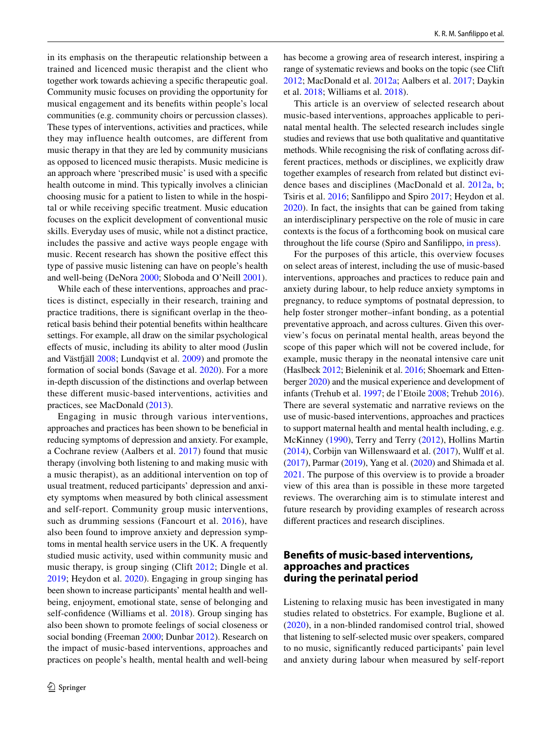in its emphasis on the therapeutic relationship between a trained and licenced music therapist and the client who together work towards achieving a specifc therapeutic goal. Community music focuses on providing the opportunity for musical engagement and its benefts within people's local communities (e.g. community choirs or percussion classes). These types of interventions, activities and practices, while they may influence health outcomes, are different from music therapy in that they are led by community musicians as opposed to licenced music therapists. Music medicine is an approach where 'prescribed music' is used with a specifc health outcome in mind. This typically involves a clinician choosing music for a patient to listen to while in the hospital or while receiving specifc treatment. Music education focuses on the explicit development of conventional music skills. Everyday uses of music, while not a distinct practice, includes the passive and active ways people engage with music. Recent research has shown the positive efect this type of passive music listening can have on people's health and well-being (DeNora [2000](#page-6-2); Sloboda and O'Neill [2001\)](#page-8-2).

While each of these interventions, approaches and practices is distinct, especially in their research, training and practice traditions, there is signifcant overlap in the theoretical basis behind their potential benefts within healthcare settings. For example, all draw on the similar psychological efects of music, including its ability to alter mood (Juslin and Västfäll [2008;](#page-7-4) Lundqvist et al. [2009\)](#page-7-5) and promote the formation of social bonds (Savage et al. [2020\)](#page-8-3). For a more in-depth discussion of the distinctions and overlap between these diferent music-based interventions, activities and practices, see MacDonald ([2013\)](#page-7-3).

Engaging in music through various interventions, approaches and practices has been shown to be benefcial in reducing symptoms of depression and anxiety. For example, a Cochrane review (Aalbers et al. [2017](#page-6-3)) found that music therapy (involving both listening to and making music with a music therapist), as an additional intervention on top of usual treatment, reduced participants' depression and anxiety symptoms when measured by both clinical assessment and self-report. Community group music interventions, such as drumming sessions (Fancourt et al. [2016\)](#page-7-6), have also been found to improve anxiety and depression symptoms in mental health service users in the UK. A frequently studied music activity, used within community music and music therapy, is group singing (Clift [2012;](#page-6-4) Dingle et al. [2019](#page-6-5); Heydon et al. [2020](#page-7-7)). Engaging in group singing has been shown to increase participants' mental health and wellbeing, enjoyment, emotional state, sense of belonging and self-confdence (Williams et al. [2018](#page-8-4)). Group singing has also been shown to promote feelings of social closeness or social bonding (Freeman [2000;](#page-7-8) Dunbar [2012\)](#page-6-6). Research on the impact of music-based interventions, approaches and practices on people's health, mental health and well-being has become a growing area of research interest, inspiring a range of systematic reviews and books on the topic (see Clift [2012](#page-6-4); MacDonald et al. [2012a](#page-7-0); Aalbers et al. [2017;](#page-6-3) Daykin et al. [2018](#page-6-7); Williams et al. [2018](#page-8-4)).

This article is an overview of selected research about music-based interventions, approaches applicable to perinatal mental health. The selected research includes single studies and reviews that use both qualitative and quantitative methods. While recognising the risk of confating across different practices, methods or disciplines, we explicitly draw together examples of research from related but distinct evidence bases and disciplines (MacDonald et al. [2012a](#page-7-0), [b](#page-7-1); Tsiris et al. [2016;](#page-8-5) Sanflippo and Spiro [2017](#page-8-6); Heydon et al. [2020\)](#page-7-7). In fact, the insights that can be gained from taking an interdisciplinary perspective on the role of music in care contexts is the focus of a forthcoming book on musical care throughout the life course (Spiro and Sanflippo[, in press\)](#page-8-7).

For the purposes of this article, this overview focuses on select areas of interest, including the use of music-based interventions, approaches and practices to reduce pain and anxiety during labour, to help reduce anxiety symptoms in pregnancy, to reduce symptoms of postnatal depression, to help foster stronger mother–infant bonding, as a potential preventative approach, and across cultures. Given this overview's focus on perinatal mental health, areas beyond the scope of this paper which will not be covered include, for example, music therapy in the neonatal intensive care unit (Haslbeck [2012;](#page-7-9) Bieleninik et al. [2016;](#page-6-8) Shoemark and Ettenberger [2020\)](#page-8-8) and the musical experience and development of infants (Trehub et al. [1997](#page-8-9); de l'Etoile [2008;](#page-6-9) Trehub [2016](#page-8-10)). There are several systematic and narrative reviews on the use of music-based interventions, approaches and practices to support maternal health and mental health including, e.g. McKinney [\(1990](#page-7-10)), Terry and Terry [\(2012](#page-8-11)), Hollins Martin  $(2014)$  $(2014)$ , Corbijn van Willenswaard et al.  $(2017)$  $(2017)$  $(2017)$ , Wulff et al. [\(2017](#page-8-12)), Parmar [\(2019](#page-7-12)), Yang et al. ([2020](#page-8-13)) and Shimada et al. [2021](#page-8-14). The purpose of this overview is to provide a broader view of this area than is possible in these more targeted reviews. The overarching aim is to stimulate interest and future research by providing examples of research across diferent practices and research disciplines.

## **Benefts of music‑based interventions, approaches and practices during the perinatal period**

Listening to relaxing music has been investigated in many studies related to obstetrics. For example, Buglione et al. ([2020\)](#page-6-11), in a non-blinded randomised control trial, showed that listening to self-selected music over speakers, compared to no music, signifcantly reduced participants' pain level and anxiety during labour when measured by self-report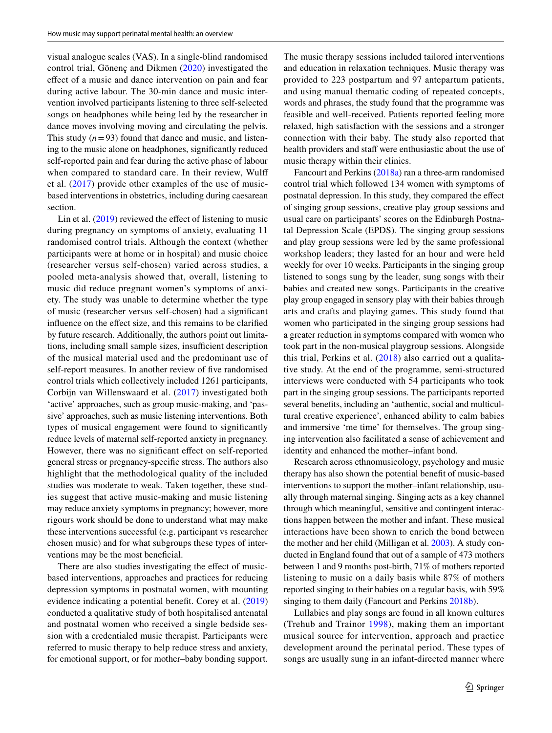visual analogue scales (VAS). In a single-blind randomised control trial, Gönenç and Dikmen ([2020](#page-7-13)) investigated the efect of a music and dance intervention on pain and fear during active labour. The 30-min dance and music intervention involved participants listening to three self-selected songs on headphones while being led by the researcher in dance moves involving moving and circulating the pelvis. This study  $(n=93)$  found that dance and music, and listening to the music alone on headphones, signifcantly reduced self-reported pain and fear during the active phase of labour when compared to standard care. In their review, Wulf et al. ([2017\)](#page-8-12) provide other examples of the use of musicbased interventions in obstetrics, including during caesarean section.

Lin et al.  $(2019)$  $(2019)$  reviewed the effect of listening to music during pregnancy on symptoms of anxiety, evaluating 11 randomised control trials. Although the context (whether participants were at home or in hospital) and music choice (researcher versus self-chosen) varied across studies, a pooled meta-analysis showed that, overall, listening to music did reduce pregnant women's symptoms of anxiety. The study was unable to determine whether the type of music (researcher versus self-chosen) had a signifcant influence on the effect size, and this remains to be clarified by future research. Additionally, the authors point out limitations, including small sample sizes, insufficient description of the musical material used and the predominant use of self-report measures. In another review of fve randomised control trials which collectively included 1261 participants, Corbijn van Willenswaard et al. ([2017\)](#page-6-10) investigated both 'active' approaches, such as group music-making, and 'passive' approaches, such as music listening interventions. Both types of musical engagement were found to signifcantly reduce levels of maternal self-reported anxiety in pregnancy. However, there was no signifcant efect on self-reported general stress or pregnancy-specifc stress. The authors also highlight that the methodological quality of the included studies was moderate to weak. Taken together, these studies suggest that active music-making and music listening may reduce anxiety symptoms in pregnancy; however, more rigours work should be done to understand what may make these interventions successful (e.g. participant vs researcher chosen music) and for what subgroups these types of interventions may be the most beneficial.

There are also studies investigating the effect of musicbased interventions, approaches and practices for reducing depression symptoms in postnatal women, with mounting evidence indicating a potential beneft. Corey et al. ([2019\)](#page-6-12) conducted a qualitative study of both hospitalised antenatal and postnatal women who received a single bedside session with a credentialed music therapist. Participants were referred to music therapy to help reduce stress and anxiety, for emotional support, or for mother–baby bonding support.

The music therapy sessions included tailored interventions and education in relaxation techniques. Music therapy was provided to 223 postpartum and 97 antepartum patients, and using manual thematic coding of repeated concepts, words and phrases, the study found that the programme was feasible and well-received. Patients reported feeling more relaxed, high satisfaction with the sessions and a stronger connection with their baby. The study also reported that health providers and staff were enthusiastic about the use of music therapy within their clinics.

Fancourt and Perkins [\(2018a](#page-6-13)) ran a three-arm randomised control trial which followed 134 women with symptoms of postnatal depression. In this study, they compared the efect of singing group sessions, creative play group sessions and usual care on participants' scores on the Edinburgh Postnatal Depression Scale (EPDS). The singing group sessions and play group sessions were led by the same professional workshop leaders; they lasted for an hour and were held weekly for over 10 weeks. Participants in the singing group listened to songs sung by the leader, sung songs with their babies and created new songs. Participants in the creative play group engaged in sensory play with their babies through arts and crafts and playing games. This study found that women who participated in the singing group sessions had a greater reduction in symptoms compared with women who took part in the non-musical playgroup sessions. Alongside this trial, Perkins et al. ([2018](#page-7-15)) also carried out a qualitative study. At the end of the programme, semi-structured interviews were conducted with 54 participants who took part in the singing group sessions. The participants reported several benefts, including an 'authentic, social and multicultural creative experience', enhanced ability to calm babies and immersive 'me time' for themselves. The group singing intervention also facilitated a sense of achievement and identity and enhanced the mother–infant bond.

Research across ethnomusicology, psychology and music therapy has also shown the potential beneft of music-based interventions to support the mother–infant relationship, usually through maternal singing. Singing acts as a key channel through which meaningful, sensitive and contingent interactions happen between the mother and infant. These musical interactions have been shown to enrich the bond between the mother and her child (Milligan et al. [2003](#page-7-16)). A study conducted in England found that out of a sample of 473 mothers between 1 and 9 months post-birth, 71% of mothers reported listening to music on a daily basis while 87% of mothers reported singing to their babies on a regular basis, with 59% singing to them daily (Fancourt and Perkins [2018b\)](#page-6-14).

Lullabies and play songs are found in all known cultures (Trehub and Trainor [1998](#page-8-15)), making them an important musical source for intervention, approach and practice development around the perinatal period. These types of songs are usually sung in an infant-directed manner where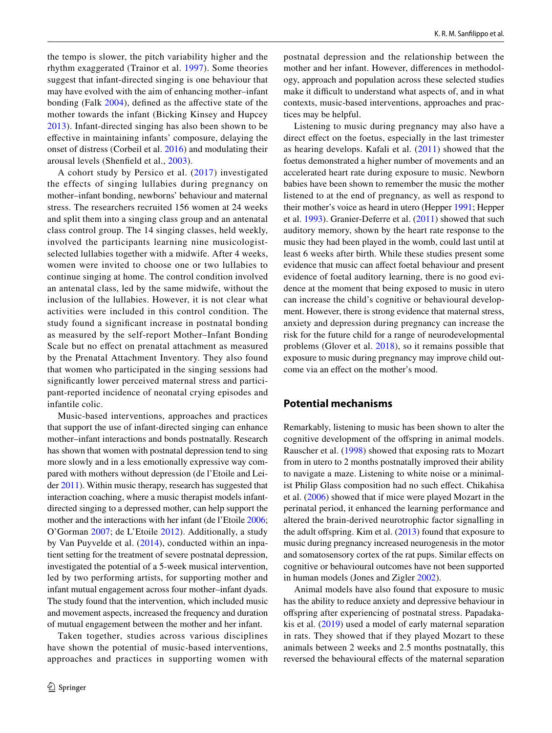the tempo is slower, the pitch variability higher and the rhythm exaggerated (Trainor et al. [1997\)](#page-8-16). Some theories suggest that infant-directed singing is one behaviour that may have evolved with the aim of enhancing mother–infant bonding (Falk [2004\)](#page-6-15), defined as the affective state of the mother towards the infant (Bicking Kinsey and Hupcey [2013\)](#page-6-16). Infant-directed singing has also been shown to be efective in maintaining infants' composure, delaying the onset of distress (Corbeil et al. [2016](#page-6-17)) and modulating their arousal levels (Shenfeld et al., [2003](#page-8-17)).

A cohort study by Persico et al. [\(2017\)](#page-7-17) investigated the effects of singing lullabies during pregnancy on mother–infant bonding, newborns' behaviour and maternal stress. The researchers recruited 156 women at 24 weeks and split them into a singing class group and an antenatal class control group. The 14 singing classes, held weekly, involved the participants learning nine musicologistselected lullabies together with a midwife. After 4 weeks, women were invited to choose one or two lullabies to continue singing at home. The control condition involved an antenatal class, led by the same midwife, without the inclusion of the lullabies. However, it is not clear what activities were included in this control condition. The study found a signifcant increase in postnatal bonding as measured by the self-report Mother–Infant Bonding Scale but no efect on prenatal attachment as measured by the Prenatal Attachment Inventory. They also found that women who participated in the singing sessions had signifcantly lower perceived maternal stress and participant-reported incidence of neonatal crying episodes and infantile colic.

Music-based interventions, approaches and practices that support the use of infant-directed singing can enhance mother–infant interactions and bonds postnatally. Research has shown that women with postnatal depression tend to sing more slowly and in a less emotionally expressive way compared with mothers without depression (de l'Etoile and Leider [2011\)](#page-6-18). Within music therapy, research has suggested that interaction coaching, where a music therapist models infantdirected singing to a depressed mother, can help support the mother and the interactions with her infant (de l'Etoile [2006](#page-6-19); O'Gorman [2007;](#page-7-18) de L'Etoile [2012\)](#page-6-20). Additionally, a study by Van Puyvelde et al. [\(2014\)](#page-8-18), conducted within an inpatient setting for the treatment of severe postnatal depression, investigated the potential of a 5-week musical intervention, led by two performing artists, for supporting mother and infant mutual engagement across four mother–infant dyads. The study found that the intervention, which included music and movement aspects, increased the frequency and duration of mutual engagement between the mother and her infant.

Taken together, studies across various disciplines have shown the potential of music-based interventions, approaches and practices in supporting women with postnatal depression and the relationship between the mother and her infant. However, diferences in methodology, approach and population across these selected studies make it difficult to understand what aspects of, and in what contexts, music-based interventions, approaches and practices may be helpful.

Listening to music during pregnancy may also have a direct effect on the foetus, especially in the last trimester as hearing develops. Kafali et al. ([2011\)](#page-7-19) showed that the foetus demonstrated a higher number of movements and an accelerated heart rate during exposure to music. Newborn babies have been shown to remember the music the mother listened to at the end of pregnancy, as well as respond to their mother's voice as heard in utero (Hepper [1991;](#page-7-20) Hepper et al. [1993](#page-7-21)). Granier-Deferre et al. [\(2011](#page-7-22)) showed that such auditory memory, shown by the heart rate response to the music they had been played in the womb, could last until at least 6 weeks after birth. While these studies present some evidence that music can afect foetal behaviour and present evidence of foetal auditory learning, there is no good evidence at the moment that being exposed to music in utero can increase the child's cognitive or behavioural development. However, there is strong evidence that maternal stress, anxiety and depression during pregnancy can increase the risk for the future child for a range of neurodevelopmental problems (Glover et al. [2018](#page-7-23)), so it remains possible that exposure to music during pregnancy may improve child outcome via an efect on the mother's mood.

## **Potential mechanisms**

Remarkably, listening to music has been shown to alter the cognitive development of the offspring in animal models. Rauscher et al. ([1998\)](#page-7-24) showed that exposing rats to Mozart from in utero to 2 months postnatally improved their ability to navigate a maze. Listening to white noise or a minimalist Philip Glass composition had no such efect. Chikahisa et al. ([2006\)](#page-6-21) showed that if mice were played Mozart in the perinatal period, it enhanced the learning performance and altered the brain-derived neurotrophic factor signalling in the adult offspring. Kim et al.  $(2013)$  found that exposure to music during pregnancy increased neurogenesis in the motor and somatosensory cortex of the rat pups. Similar efects on cognitive or behavioural outcomes have not been supported in human models (Jones and Zigler [2002](#page-7-26)).

Animal models have also found that exposure to music has the ability to reduce anxiety and depressive behaviour in ofspring after experiencing of postnatal stress. Papadakakis et al. ([2019](#page-7-27)) used a model of early maternal separation in rats. They showed that if they played Mozart to these animals between 2 weeks and 2.5 months postnatally, this reversed the behavioural efects of the maternal separation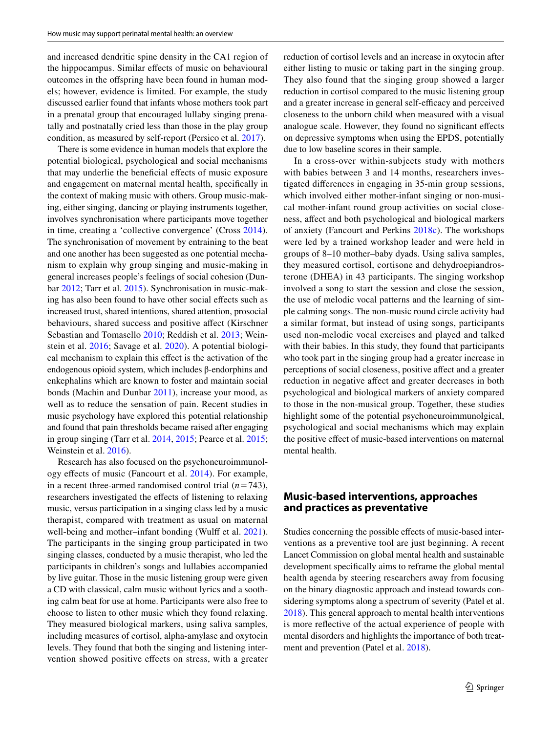and increased dendritic spine density in the CA1 region of the hippocampus. Similar efects of music on behavioural outcomes in the ofspring have been found in human models; however, evidence is limited. For example, the study discussed earlier found that infants whose mothers took part in a prenatal group that encouraged lullaby singing prenatally and postnatally cried less than those in the play group condition, as measured by self-report (Persico et al. [2017\)](#page-7-17).

There is some evidence in human models that explore the potential biological, psychological and social mechanisms that may underlie the benefcial efects of music exposure and engagement on maternal mental health, specifcally in the context of making music with others. Group music-making, either singing, dancing or playing instruments together, involves synchronisation where participants move together in time, creating a 'collective convergence' (Cross [2014](#page-6-22)). The synchronisation of movement by entraining to the beat and one another has been suggested as one potential mechanism to explain why group singing and music-making in general increases people's feelings of social cohesion (Dunbar [2012;](#page-6-6) Tarr et al. [2015](#page-8-19)). Synchronisation in music-making has also been found to have other social efects such as increased trust, shared intentions, shared attention, prosocial behaviours, shared success and positive affect (Kirschner Sebastian and Tomasello [2010](#page-7-28); Reddish et al. [2013](#page-7-29); Weinstein et al. [2016](#page-8-20); Savage et al. [2020](#page-8-3)). A potential biological mechanism to explain this efect is the activation of the endogenous opioid system, which includes β-endorphins and enkephalins which are known to foster and maintain social bonds (Machin and Dunbar [2011](#page-7-30)), increase your mood, as well as to reduce the sensation of pain. Recent studies in music psychology have explored this potential relationship and found that pain thresholds became raised after engaging in group singing (Tarr et al. [2014,](#page-8-21) [2015;](#page-8-19) Pearce et al. [2015](#page-7-31); Weinstein et al. [2016\)](#page-8-20).

Research has also focused on the psychoneuroimmunology efects of music (Fancourt et al. [2014\)](#page-6-23). For example, in a recent three-armed randomised control trial (*n*=743), researchers investigated the efects of listening to relaxing music, versus participation in a singing class led by a music therapist, compared with treatment as usual on maternal well-being and mother–infant bonding (Wulff et al. [2021](#page-8-22)). The participants in the singing group participated in two singing classes, conducted by a music therapist, who led the participants in children's songs and lullabies accompanied by live guitar. Those in the music listening group were given a CD with classical, calm music without lyrics and a soothing calm beat for use at home. Participants were also free to choose to listen to other music which they found relaxing. They measured biological markers, using saliva samples, including measures of cortisol, alpha-amylase and oxytocin levels. They found that both the singing and listening intervention showed positive efects on stress, with a greater reduction of cortisol levels and an increase in oxytocin after either listing to music or taking part in the singing group. They also found that the singing group showed a larger reduction in cortisol compared to the music listening group and a greater increase in general self-efficacy and perceived closeness to the unborn child when measured with a visual analogue scale. However, they found no signifcant efects on depressive symptoms when using the EPDS, potentially due to low baseline scores in their sample.

In a cross-over within-subjects study with mothers with babies between 3 and 14 months, researchers investigated diferences in engaging in 35-min group sessions, which involved either mother-infant singing or non-musical mother-infant round group activities on social closeness, afect and both psychological and biological markers of anxiety (Fancourt and Perkins [2018c\)](#page-7-32). The workshops were led by a trained workshop leader and were held in groups of 8–10 mother–baby dyads. Using saliva samples, they measured cortisol, cortisone and dehydroepiandrosterone (DHEA) in 43 participants. The singing workshop involved a song to start the session and close the session, the use of melodic vocal patterns and the learning of simple calming songs. The non-music round circle activity had a similar format, but instead of using songs, participants used non-melodic vocal exercises and played and talked with their babies. In this study, they found that participants who took part in the singing group had a greater increase in perceptions of social closeness, positive affect and a greater reduction in negative affect and greater decreases in both psychological and biological markers of anxiety compared to those in the non-musical group. Together, these studies highlight some of the potential psychoneuroimmunolgical, psychological and social mechanisms which may explain the positive effect of music-based interventions on maternal mental health.

#### **Music‑based interventions, approaches and practices as preventative**

Studies concerning the possible effects of music-based interventions as a preventive tool are just beginning. A recent Lancet Commission on global mental health and sustainable development specifcally aims to reframe the global mental health agenda by steering researchers away from focusing on the binary diagnostic approach and instead towards considering symptoms along a spectrum of severity (Patel et al. [2018](#page-7-33)). This general approach to mental health interventions is more refective of the actual experience of people with mental disorders and highlights the importance of both treatment and prevention (Patel et al. [2018](#page-7-33)).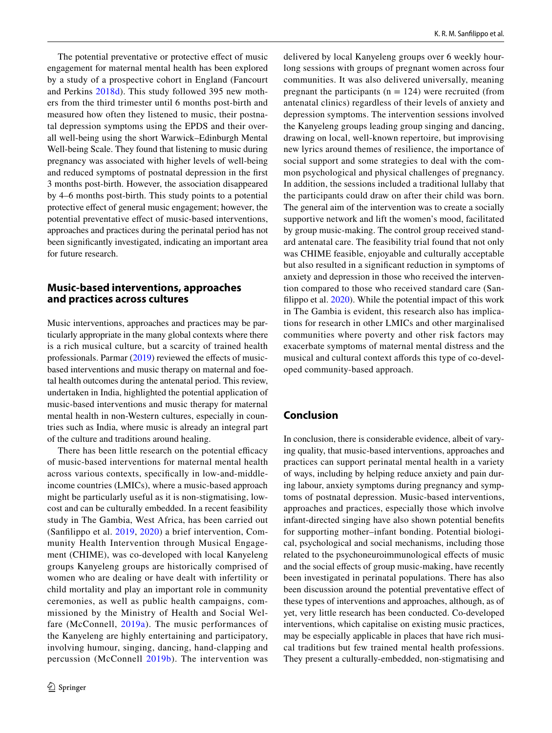The potential preventative or protective effect of music engagement for maternal mental health has been explored by a study of a prospective cohort in England (Fancourt and Perkins [2018d](#page-7-34)). This study followed 395 new mothers from the third trimester until 6 months post-birth and measured how often they listened to music, their postnatal depression symptoms using the EPDS and their overall well-being using the short Warwick–Edinburgh Mental Well-being Scale. They found that listening to music during pregnancy was associated with higher levels of well-being and reduced symptoms of postnatal depression in the frst 3 months post-birth. However, the association disappeared by 4–6 months post-birth. This study points to a potential protective efect of general music engagement; however, the potential preventative efect of music-based interventions, approaches and practices during the perinatal period has not been signifcantly investigated, indicating an important area for future research.

## **Music‑based interventions, approaches and practices across cultures**

Music interventions, approaches and practices may be particularly appropriate in the many global contexts where there is a rich musical culture, but a scarcity of trained health professionals. Parmar [\(2019\)](#page-7-12) reviewed the effects of musicbased interventions and music therapy on maternal and foetal health outcomes during the antenatal period. This review, undertaken in India, highlighted the potential application of music-based interventions and music therapy for maternal mental health in non-Western cultures, especially in countries such as India, where music is already an integral part of the culture and traditions around healing.

There has been little research on the potential efficacy of music-based interventions for maternal mental health across various contexts, specifcally in low-and-middleincome countries (LMICs), where a music-based approach might be particularly useful as it is non-stigmatising, lowcost and can be culturally embedded. In a recent feasibility study in The Gambia, West Africa, has been carried out (Sanflippo et al. [2019](#page-8-23), [2020\)](#page-7-35) a brief intervention, Community Health Intervention through Musical Engagement (CHIME), was co-developed with local Kanyeleng groups Kanyeleng groups are historically comprised of women who are dealing or have dealt with infertility or child mortality and play an important role in community ceremonies, as well as public health campaigns, commissioned by the Ministry of Health and Social Welfare (McConnell, [2019a\)](#page-7-36). The music performances of the Kanyeleng are highly entertaining and participatory, involving humour, singing, dancing, hand-clapping and percussion (McConnell [2019b\)](#page-7-37). The intervention was delivered by local Kanyeleng groups over 6 weekly hourlong sessions with groups of pregnant women across four communities. It was also delivered universally, meaning pregnant the participants ( $n = 124$ ) were recruited (from antenatal clinics) regardless of their levels of anxiety and depression symptoms. The intervention sessions involved the Kanyeleng groups leading group singing and dancing, drawing on local, well-known repertoire, but improvising new lyrics around themes of resilience, the importance of social support and some strategies to deal with the common psychological and physical challenges of pregnancy. In addition, the sessions included a traditional lullaby that the participants could draw on after their child was born. The general aim of the intervention was to create a socially supportive network and lift the women's mood, facilitated by group music-making. The control group received standard antenatal care. The feasibility trial found that not only was CHIME feasible, enjoyable and culturally acceptable but also resulted in a signifcant reduction in symptoms of anxiety and depression in those who received the intervention compared to those who received standard care (Sanflippo et al. [2020](#page-7-35)). While the potential impact of this work in The Gambia is evident, this research also has implications for research in other LMICs and other marginalised communities where poverty and other risk factors may exacerbate symptoms of maternal mental distress and the musical and cultural context affords this type of co-developed community-based approach.

## **Conclusion**

In conclusion, there is considerable evidence, albeit of varying quality, that music-based interventions, approaches and practices can support perinatal mental health in a variety of ways, including by helping reduce anxiety and pain during labour, anxiety symptoms during pregnancy and symptoms of postnatal depression. Music-based interventions, approaches and practices, especially those which involve infant-directed singing have also shown potential benefts for supporting mother–infant bonding. Potential biological, psychological and social mechanisms, including those related to the psychoneuroimmunological efects of music and the social efects of group music-making, have recently been investigated in perinatal populations. There has also been discussion around the potential preventative effect of these types of interventions and approaches, although, as of yet, very little research has been conducted. Co-developed interventions, which capitalise on existing music practices, may be especially applicable in places that have rich musical traditions but few trained mental health professions. They present a culturally-embedded, non-stigmatising and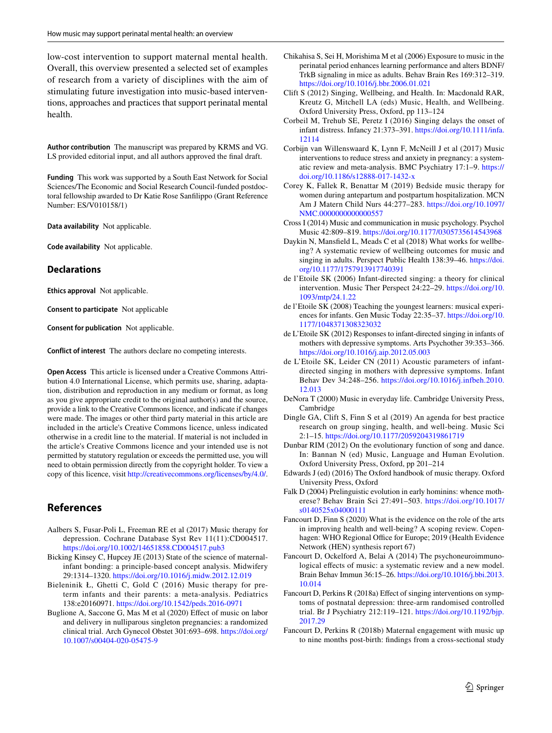low-cost intervention to support maternal mental health. Overall, this overview presented a selected set of examples of research from a variety of disciplines with the aim of stimulating future investigation into music-based interventions, approaches and practices that support perinatal mental health.

**Author contribution** The manuscript was prepared by KRMS and VG. LS provided editorial input, and all authors approved the fnal draft.

**Funding** This work was supported by a South East Network for Social Sciences/The Economic and Social Research Council-funded postdoctoral fellowship awarded to Dr Katie Rose Sanflippo (Grant Reference Number: ES/V010158/1)

**Data availability** Not applicable.

**Code availability** Not applicable.

#### **Declarations**

**Ethics approval** Not applicable.

**Consent to participate** Not applicable

**Consent for publication** Not applicable.

**Conflict of interest** The authors declare no competing interests.

**Open Access** This article is licensed under a Creative Commons Attribution 4.0 International License, which permits use, sharing, adaptation, distribution and reproduction in any medium or format, as long as you give appropriate credit to the original author(s) and the source, provide a link to the Creative Commons licence, and indicate if changes were made. The images or other third party material in this article are included in the article's Creative Commons licence, unless indicated otherwise in a credit line to the material. If material is not included in the article's Creative Commons licence and your intended use is not permitted by statutory regulation or exceeds the permitted use, you will need to obtain permission directly from the copyright holder. To view a copy of this licence, visit <http://creativecommons.org/licenses/by/4.0/>.

# **References**

- <span id="page-6-3"></span>Aalbers S, Fusar-Poli L, Freeman RE et al (2017) Music therapy for depression. Cochrane Database Syst Rev 11(11):CD004517. <https://doi.org/10.1002/14651858.CD004517.pub3>
- <span id="page-6-16"></span>Bicking Kinsey C, Hupcey JE (2013) State of the science of maternalinfant bonding: a principle-based concept analysis. Midwifery 29:1314–1320. <https://doi.org/10.1016/j.midw.2012.12.019>
- <span id="page-6-8"></span>Bieleninik Ł, Ghetti C, Gold C (2016) Music therapy for preterm infants and their parents: a meta-analysis. Pediatrics 138:e20160971. <https://doi.org/10.1542/peds.2016-0971>
- <span id="page-6-11"></span>Buglione A, Saccone G, Mas M et al (2020) Efect of music on labor and delivery in nulliparous singleton pregnancies: a randomized clinical trial. Arch Gynecol Obstet 301:693–698. [https://doi.org/](https://doi.org/10.1007/s00404-020-05475-9) [10.1007/s00404-020-05475-9](https://doi.org/10.1007/s00404-020-05475-9)
- <span id="page-6-21"></span>Chikahisa S, Sei H, Morishima M et al (2006) Exposure to music in the perinatal period enhances learning performance and alters BDNF/ TrkB signaling in mice as adults. Behav Brain Res 169:312–319. <https://doi.org/10.1016/j.bbr.2006.01.021>
- <span id="page-6-4"></span>Clift S (2012) Singing, Wellbeing, and Health. In: Macdonald RAR, Kreutz G, Mitchell LA (eds) Music, Health, and Wellbeing. Oxford University Press, Oxford, pp 113–124
- <span id="page-6-17"></span>Corbeil M, Trehub SE, Peretz I (2016) Singing delays the onset of infant distress. Infancy 21:373–391. [https://doi.org/10.1111/infa.](https://doi.org/10.1111/infa.12114) [12114](https://doi.org/10.1111/infa.12114)
- <span id="page-6-10"></span>Corbijn van Willenswaard K, Lynn F, McNeill J et al (2017) Music interventions to reduce stress and anxiety in pregnancy: a systematic review and meta-analysis. BMC Psychiatry 17:1–9. [https://](https://doi.org/10.1186/s12888-017-1432-x) [doi.org/10.1186/s12888-017-1432-x](https://doi.org/10.1186/s12888-017-1432-x)
- <span id="page-6-12"></span>Corey K, Fallek R, Benattar M (2019) Bedside music therapy for women during antepartum and postpartum hospitalization. MCN Am J Matern Child Nurs 44:277–283. [https://doi.org/10.1097/](https://doi.org/10.1097/NMC.0000000000000557) NMC.00000000000000557
- <span id="page-6-22"></span>Cross I (2014) Music and communication in music psychology. Psychol Music 42:809–819.<https://doi.org/10.1177/0305735614543968>
- <span id="page-6-7"></span>Daykin N, Mansfeld L, Meads C et al (2018) What works for wellbeing? A systematic review of wellbeing outcomes for music and singing in adults. Perspect Public Health 138:39–46. [https://doi.](https://doi.org/10.1177/1757913917740391) [org/10.1177/1757913917740391](https://doi.org/10.1177/1757913917740391)
- <span id="page-6-19"></span>de l'Etoile SK (2006) Infant-directed singing: a theory for clinical intervention. Music Ther Perspect 24:22–29. [https://doi.org/10.](https://doi.org/10.1093/mtp/24.1.22) [1093/mtp/24.1.22](https://doi.org/10.1093/mtp/24.1.22)
- <span id="page-6-9"></span>de l'Etoile SK (2008) Teaching the youngest learners: musical experiences for infants. Gen Music Today 22:35–37. [https://doi.org/10.](https://doi.org/10.1177/1048371308323032) [1177/1048371308323032](https://doi.org/10.1177/1048371308323032)
- <span id="page-6-20"></span>de L'Etoile SK (2012) Responses to infant-directed singing in infants of mothers with depressive symptoms. Arts Psychother 39:353–366. <https://doi.org/10.1016/j.aip.2012.05.003>
- <span id="page-6-18"></span>de L'Etoile SK, Leider CN (2011) Acoustic parameters of infantdirected singing in mothers with depressive symptoms. Infant Behav Dev 34:248–256. [https://doi.org/10.1016/j.infbeh.2010.](https://doi.org/10.1016/j.infbeh.2010.12.013) [12.013](https://doi.org/10.1016/j.infbeh.2010.12.013)
- <span id="page-6-2"></span>DeNora T (2000) Music in everyday life. Cambridge University Press, Cambridge
- <span id="page-6-5"></span>Dingle GA, Clift S, Finn S et al (2019) An agenda for best practice research on group singing, health, and well-being. Music Sci 2:1–15.<https://doi.org/10.1177/2059204319861719>
- <span id="page-6-6"></span>Dunbar RIM (2012) On the evolutionary function of song and dance. In: Bannan N (ed) Music, Language and Human Evolution. Oxford University Press, Oxford, pp 201–214
- <span id="page-6-1"></span>Edwards J (ed) (2016) The Oxford handbook of music therapy. Oxford University Press, Oxford
- <span id="page-6-15"></span>Falk D (2004) Prelinguistic evolution in early hominins: whence motherese? Behav Brain Sci 27:491–503. [https://doi.org/10.1017/](https://doi.org/10.1017/s0140525x04000111) [s0140525x04000111](https://doi.org/10.1017/s0140525x04000111)
- <span id="page-6-0"></span>Fancourt D, Finn S (2020) What is the evidence on the role of the arts in improving health and well-being? A scoping review. Copenhagen: WHO Regional Office for Europe; 2019 (Health Evidence Network (HEN) synthesis report 67)
- <span id="page-6-23"></span>Fancourt D, Ockelford A, Belai A (2014) The psychoneuroimmunological effects of music: a systematic review and a new model. Brain Behav Immun 36:15–26. [https://doi.org/10.1016/j.bbi.2013.](https://doi.org/10.1016/j.bbi.2013.10.014) [10.014](https://doi.org/10.1016/j.bbi.2013.10.014)
- <span id="page-6-13"></span>Fancourt D, Perkins R (2018a) Effect of singing interventions on symptoms of postnatal depression: three-arm randomised controlled trial. Br J Psychiatry 212:119–121. [https://doi.org/10.1192/bjp.](https://doi.org/10.1192/bjp.2017.29) [2017.29](https://doi.org/10.1192/bjp.2017.29)
- <span id="page-6-14"></span>Fancourt D, Perkins R (2018b) Maternal engagement with music up to nine months post-birth: fndings from a cross-sectional study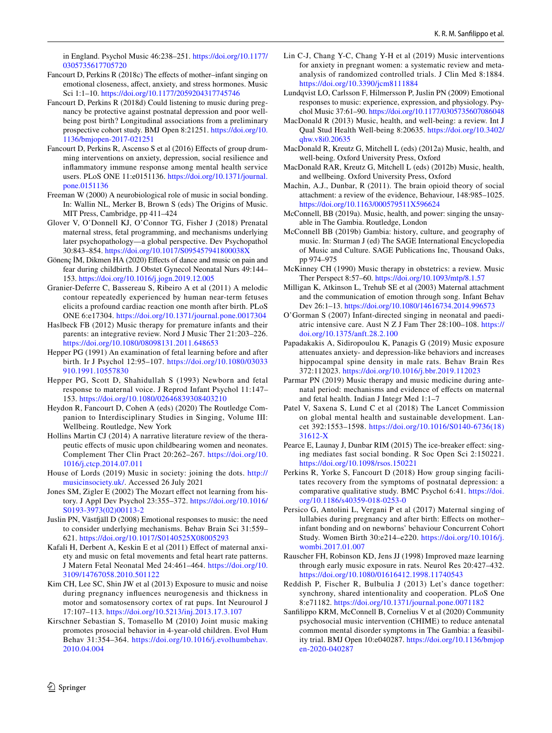in England. Psychol Music 46:238–251. [https://doi.org/10.1177/](https://doi.org/10.1177/0305735617705720) [0305735617705720](https://doi.org/10.1177/0305735617705720)

- <span id="page-7-32"></span>Fancourt D, Perkins R (2018c) The efects of mother–infant singing on emotional closeness, afect, anxiety, and stress hormones. Music Sci 1:1–10.<https://doi.org/10.1177/2059204317745746>
- <span id="page-7-34"></span>Fancourt D, Perkins R (2018d) Could listening to music during pregnancy be protective against postnatal depression and poor wellbeing post birth? Longitudinal associations from a preliminary prospective cohort study. BMJ Open 8:21251. [https://doi.org/10.](https://doi.org/10.1136/bmjopen-2017-021251) [1136/bmjopen-2017-021251](https://doi.org/10.1136/bmjopen-2017-021251)
- <span id="page-7-6"></span>Fancourt D, Perkins R, Ascenso S et al (2016) Effects of group drumming interventions on anxiety, depression, social resilience and infammatory immune response among mental health service users. PLoS ONE 11:e0151136. [https://doi.org/10.1371/journal.](https://doi.org/10.1371/journal.pone.0151136) [pone.0151136](https://doi.org/10.1371/journal.pone.0151136)
- <span id="page-7-8"></span>Freeman W (2000) A neurobiological role of music in social bonding. In: Wallin NL, Merker B, Brown S (eds) The Origins of Music. MIT Press, Cambridge, pp 411–424
- <span id="page-7-23"></span>Glover V, O'Donnell KJ, O'Connor TG, Fisher J (2018) Prenatal maternal stress, fetal programming, and mechanisms underlying later psychopathology—a global perspective. Dev Psychopathol 30:843–854.<https://doi.org/10.1017/S095457941800038X>
- <span id="page-7-13"></span>Gönenç İM, Dikmen HA (2020) Efects of dance and music on pain and fear during childbirth. J Obstet Gynecol Neonatal Nurs 49:144– 153.<https://doi.org/10.1016/j.jogn.2019.12.005>
- <span id="page-7-22"></span>Granier-Deferre C, Bassereau S, Ribeiro A et al (2011) A melodic contour repeatedly experienced by human near-term fetuses elicits a profound cardiac reaction one month after birth. PLoS ONE 6:e17304. <https://doi.org/10.1371/journal.pone.0017304>
- <span id="page-7-9"></span>Haslbeck FB (2012) Music therapy for premature infants and their parents: an integrative review. Nord J Music Ther 21:203–226. <https://doi.org/10.1080/08098131.2011.648653>
- <span id="page-7-20"></span>Hepper PG (1991) An examination of fetal learning before and after birth. Ir J Psychol 12:95–107. [https://doi.org/10.1080/03033](https://doi.org/10.1080/03033910.1991.10557830) [910.1991.10557830](https://doi.org/10.1080/03033910.1991.10557830)
- <span id="page-7-21"></span>Hepper PG, Scott D, Shahidullah S (1993) Newborn and fetal response to maternal voice. J Reprod Infant Psychol 11:147– 153. <https://doi.org/10.1080/02646839308403210>
- <span id="page-7-7"></span>Heydon R, Fancourt D, Cohen A (eds) (2020) The Routledge Companion to Interdisciplinary Studies in Singing, Volume III: Wellbeing. Routledge, New York
- <span id="page-7-11"></span>Hollins Martin CJ (2014) A narrative literature review of the therapeutic efects of music upon childbearing women and neonates. Complement Ther Clin Pract 20:262–267. [https://doi.org/10.](https://doi.org/10.1016/j.ctcp.2014.07.011) [1016/j.ctcp.2014.07.011](https://doi.org/10.1016/j.ctcp.2014.07.011)
- <span id="page-7-2"></span>House of Lords (2019) Music in society: joining the dots. [http://](http://musicinsociety.uk/) [musicinsociety.uk/](http://musicinsociety.uk/). Accessed 26 July 2021
- <span id="page-7-26"></span>Jones SM, Zigler E (2002) The Mozart effect not learning from history. J Appl Dev Psychol 23:355–372. [https://doi.org/10.1016/](https://doi.org/10.1016/S0193-3973(02)00113-2) [S0193-3973\(02\)00113-2](https://doi.org/10.1016/S0193-3973(02)00113-2)
- <span id="page-7-4"></span>Juslin PN, Västfäll D (2008) Emotional responses to music: the need to consider underlying mechanisms. Behav Brain Sci 31:559– 621. <https://doi.org/10.1017/S0140525X08005293>
- <span id="page-7-19"></span>Kafali H, Derbent A, Keskin E et al (2011) Effect of maternal anxiety and music on fetal movements and fetal heart rate patterns. J Matern Fetal Neonatal Med 24:461–464. [https://doi.org/10.](https://doi.org/10.3109/14767058.2010.501122) [3109/14767058.2010.501122](https://doi.org/10.3109/14767058.2010.501122)
- <span id="page-7-25"></span>Kim CH, Lee SC, Shin JW et al (2013) Exposure to music and noise during pregnancy infuences neurogenesis and thickness in motor and somatosensory cortex of rat pups. Int Neurourol J 17:107–113. <https://doi.org/10.5213/inj.2013.17.3.107>
- <span id="page-7-28"></span>Kirschner Sebastian S, Tomasello M (2010) Joint music making promotes prosocial behavior in 4-year-old children. Evol Hum Behav 31:354–364. [https://doi.org/10.1016/j.evolhumbehav.](https://doi.org/10.1016/j.evolhumbehav.2010.04.004) [2010.04.004](https://doi.org/10.1016/j.evolhumbehav.2010.04.004)
- <span id="page-7-14"></span>Lin C-J, Chang Y-C, Chang Y-H et al (2019) Music interventions for anxiety in pregnant women: a systematic review and metaanalysis of randomized controlled trials. J Clin Med 8:1884. <https://doi.org/10.3390/jcm8111884>
- <span id="page-7-5"></span>Lundqvist LO, Carlsson F, Hilmersson P, Juslin PN (2009) Emotional responses to music: experience, expression, and physiology. Psychol Music 37:61–90.<https://doi.org/10.1177/0305735607086048>
- <span id="page-7-3"></span>MacDonald R (2013) Music, health, and well-being: a review. Int J Qual Stud Health Well-being 8:20635. [https://doi.org/10.3402/](https://doi.org/10.3402/qhw.v8i0.20635) [qhw.v8i0.20635](https://doi.org/10.3402/qhw.v8i0.20635)
- <span id="page-7-0"></span>MacDonald R, Kreutz G, Mitchell L (eds) (2012a) Music, health, and well-being. Oxford University Press, Oxford
- <span id="page-7-1"></span>MacDonald RAR, Kreutz G, Mitchell L (eds) (2012b) Music, health, and wellbeing. Oxford University Press, Oxford
- <span id="page-7-30"></span>Machin, A.J., Dunbar, R (2011). The brain opioid theory of social attachment: a review of the evidence, Behaviour, 148:985–1025. <https://doi.org/10.1163/000579511X596624>
- <span id="page-7-36"></span>McConnell, BB (2019a). Music, health, and power: singing the unsayable in The Gambia. Routledge, London
- <span id="page-7-37"></span>McConnell BB (2019b) Gambia: history, culture, and geography of music. In: Sturman J (ed) The SAGE International Encyclopedia of Music and Culture. SAGE Publications Inc, Thousand Oaks, pp 974–975
- <span id="page-7-10"></span>McKinney CH (1990) Music therapy in obstetrics: a review. Music Ther Perspect 8:57–60. <https://doi.org/10.1093/mtp/8.1.57>
- <span id="page-7-16"></span>Milligan K, Atkinson L, Trehub SE et al (2003) Maternal attachment and the communication of emotion through song. Infant Behav Dev 26:1–13. <https://doi.org/10.1080/14616734.2014.996573>
- <span id="page-7-18"></span>O'Gorman S (2007) Infant-directed singing in neonatal and paediatric intensive care. Aust N Z J Fam Ther 28:100–108. [https://](https://doi.org/10.1375/anft.28.2.100) [doi.org/10.1375/anft.28.2.100](https://doi.org/10.1375/anft.28.2.100)
- <span id="page-7-27"></span>Papadakakis A, Sidiropoulou K, Panagis G (2019) Music exposure attenuates anxiety- and depression-like behaviors and increases hippocampal spine density in male rats. Behav Brain Res 372:112023. <https://doi.org/10.1016/j.bbr.2019.112023>
- <span id="page-7-12"></span>Parmar PN (2019) Music therapy and music medicine during antenatal period: mechanisms and evidence of efects on maternal and fetal health. Indian J Integr Med 1:1–7
- <span id="page-7-33"></span>Patel V, Saxena S, Lund C et al (2018) The Lancet Commission on global mental health and sustainable development. Lancet 392:1553–1598. [https://doi.org/10.1016/S0140-6736\(18\)](https://doi.org/10.1016/S0140-6736(18)31612-X) [31612-X](https://doi.org/10.1016/S0140-6736(18)31612-X)
- <span id="page-7-31"></span>Pearce E, Launay J, Dunbar RIM (2015) The ice-breaker effect: singing mediates fast social bonding. R Soc Open Sci 2:150221. <https://doi.org/10.1098/rsos.150221>
- <span id="page-7-15"></span>Perkins R, Yorke S, Fancourt D (2018) How group singing facilitates recovery from the symptoms of postnatal depression: a comparative qualitative study. BMC Psychol 6:41. [https://doi.](https://doi.org/10.1186/s40359-018-0253-0) [org/10.1186/s40359-018-0253-0](https://doi.org/10.1186/s40359-018-0253-0)
- <span id="page-7-17"></span>Persico G, Antolini L, Vergani P et al (2017) Maternal singing of lullabies during pregnancy and after birth: Effects on motherinfant bonding and on newborns' behaviour Concurrent Cohort Study. Women Birth 30:e214–e220. [https://doi.org/10.1016/j.](https://doi.org/10.1016/j.wombi.2017.01.007) [wombi.2017.01.007](https://doi.org/10.1016/j.wombi.2017.01.007)
- <span id="page-7-24"></span>Rauscher FH, Robinson KD, Jens JJ (1998) Improved maze learning through early music exposure in rats. Neurol Res 20:427–432. <https://doi.org/10.1080/01616412.1998.11740543>
- <span id="page-7-29"></span>Reddish P, Fischer R, Bulbulia J (2013) Let's dance together: synchrony, shared intentionality and cooperation. PLoS One 8:e71182. <https://doi.org/10.1371/journal.pone.0071182>
- <span id="page-7-35"></span>Sanflippo KRM, McConnell B, Cornelius V et al (2020) Community psychosocial music intervention (CHIME) to reduce antenatal common mental disorder symptoms in The Gambia: a feasibility trial. BMJ Open 10:e040287. [https://doi.org/10.1136/bmjop](https://doi.org/10.1136/bmjopen-2020-040287) [en-2020-040287](https://doi.org/10.1136/bmjopen-2020-040287)